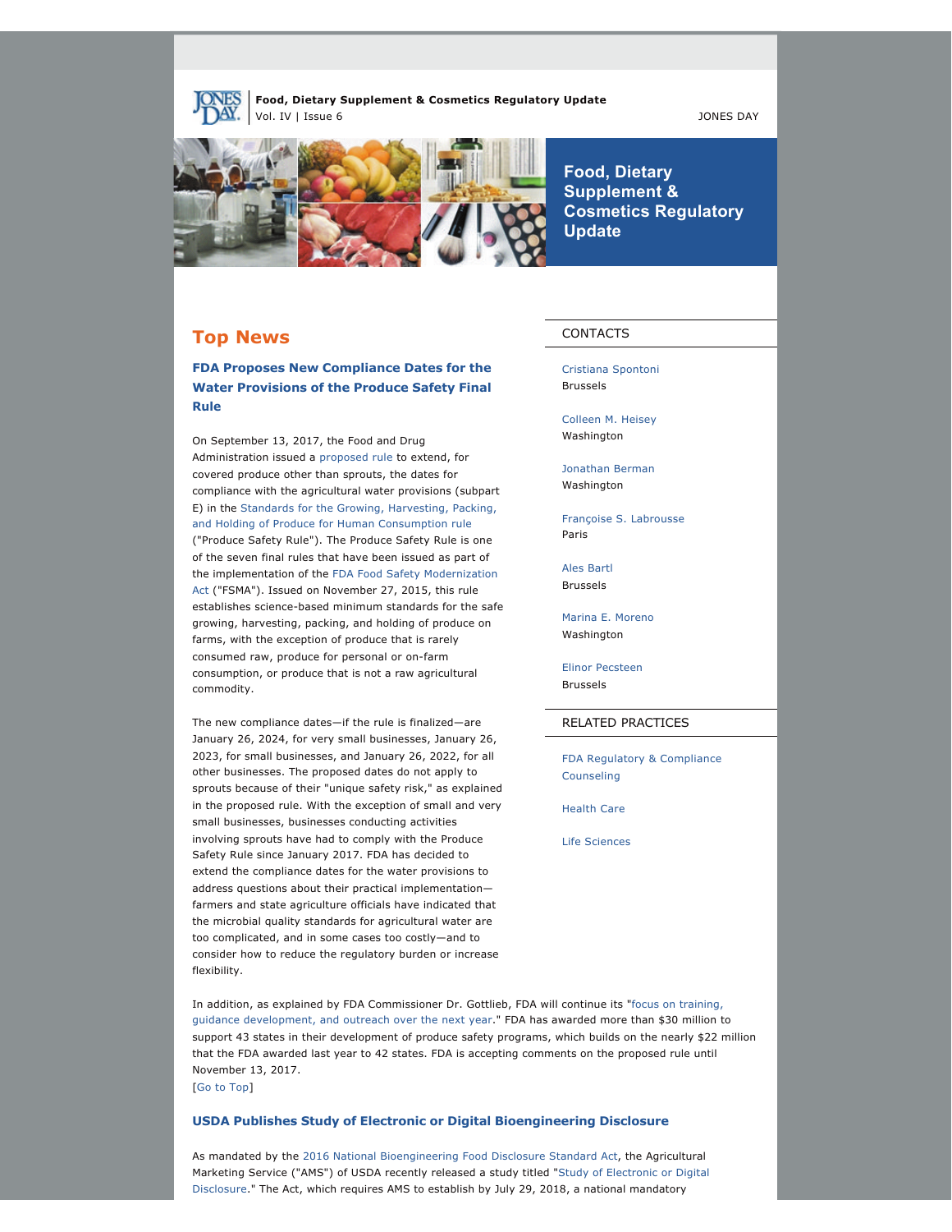**Food, Dietary Supplement & Cosmetics Regulatory Update** Vol. IV | Issue 6 JONES DAY



**Food, Dietary Supplement & Cosmetics Regulatory Update**

# **Top News**

**FDA Proposes New Compliance Dates for the Water Provisions of the Produce Safety Final Rule**

On September 13, 2017, the Food and Drug Administration issued a [proposed rule](https://www.gpo.gov/fdsys/pkg/FR-2017-09-13/pdf/2017-19434.pdf) to extend, for covered produce other than sprouts, the dates for compliance with the agricultural water provisions (subpart E) in the [Standards for the Growing, Harvesting, Packing,](https://www.gpo.gov/fdsys/pkg/FR-2015-11-27/pdf/2015-28159.pdf) [and Holding of Produce for Human Consumption rule](https://www.gpo.gov/fdsys/pkg/FR-2015-11-27/pdf/2015-28159.pdf) ("Produce Safety Rule"). The Produce Safety Rule is one of the seven final rules that have been issued as part of the implementation of the [FDA Food Safety Modernization](https://www.fda.gov/Food/GuidanceRegulation/FSMA/default.htm) [Act](https://www.fda.gov/Food/GuidanceRegulation/FSMA/default.htm) ("FSMA"). Issued on November 27, 2015, this rule establishes science-based minimum standards for the safe growing, harvesting, packing, and holding of produce on farms, with the exception of produce that is rarely consumed raw, produce for personal or on-farm consumption, or produce that is not a raw agricultural commodity.

The new compliance dates—if the rule is finalized—are January 26, 2024, for very small businesses, January 26, 2023, for small businesses, and January 26, 2022, for all other businesses. The proposed dates do not apply to sprouts because of their "unique safety risk," as explained in the proposed rule. With the exception of small and very small businesses, businesses conducting activities involving sprouts have had to comply with the Produce Safety Rule since January 2017. FDA has decided to extend the compliance dates for the water provisions to address questions about their practical implementation farmers and state agriculture officials have indicated that the microbial quality standards for agricultural water are too complicated, and in some cases too costly—and to consider how to reduce the regulatory burden or increase flexibility.

## CONTACTS

[Cristiana Spontoni](http://www.jonesday.com/cspontoni) Brussels

[Colleen M. Heisey](http://www.jonesday.com/cmheisey) Washington

[Jonathan Berman](http://www.jonesday.com/jberman) Washington

[Françoise S. Labrousse](http://www.jonesday.com/flabrousse) Paris

[Ales Bartl](http://www.jonesday.com/abartl) Brussels

[Marina E. Moreno](http://www.jonesday.com/mmoreno) Washington

[Elinor Pecsteen](http://www.jonesday.com/epecsteen) Brussels

## RELATED PRACTICES

[FDA Regulatory & Compliance](http://www.jonesday.com/fdaregulatoryandcompliancecounseling) [Counseling](http://www.jonesday.com/fdaregulatoryandcompliancecounseling)

[Health Care](http://www.jonesday.com/health-care-practices/)

[Life Sciences](http://www.jonesday.com/lifesciences/)

In addition, as explained by FDA Commissioner Dr. Gottlieb, FDA will continue its ["focus on training,](https://www.fda.gov/Food/NewsEvents/ConstituentUpdates/ucm575532.htm)  [guidance development, and outreach over the next year.](https://www.fda.gov/Food/NewsEvents/ConstituentUpdates/ucm575532.htm)" FDA has awarded more than \$30 million to support 43 states in their development of produce safety programs, which builds on the nearly \$22 million that the FDA awarded last year to 42 states. FDA is accepting comments on the proposed rule until November 13, 2017.

[[Go to Top](https://jonesday.vuture.net/API/Print/Preview/Screen?url=https%3a%2f%2fjonesday-ecommunications.com%2f239%2f1521%2fseptember-2017%2ffood-update-vol.-iv-issue-6-.asp%3fwidth%3d1024#top)]

#### **USDA Publishes Study of Electronic or Digital Bioengineering Disclosure**

As mandated by the [2016 National Bioengineering Food Disclosure Standard Act](https://www.ams.usda.gov/sites/default/files/media/Final%20Bill%20S764%20GMO%20Discosure.pdf), the Agricultural Marketing Service ("AMS") of USDA recently released a study titled ["Study of Electronic or Digital](https://www.ams.usda.gov/sites/default/files/media/USDADeloitteStudyofElectronicorDigitalDisclosure20170801.pdf)  [Disclosure.](https://www.ams.usda.gov/sites/default/files/media/USDADeloitteStudyofElectronicorDigitalDisclosure20170801.pdf)" The Act, which requires AMS to establish by July 29, 2018, a national mandatory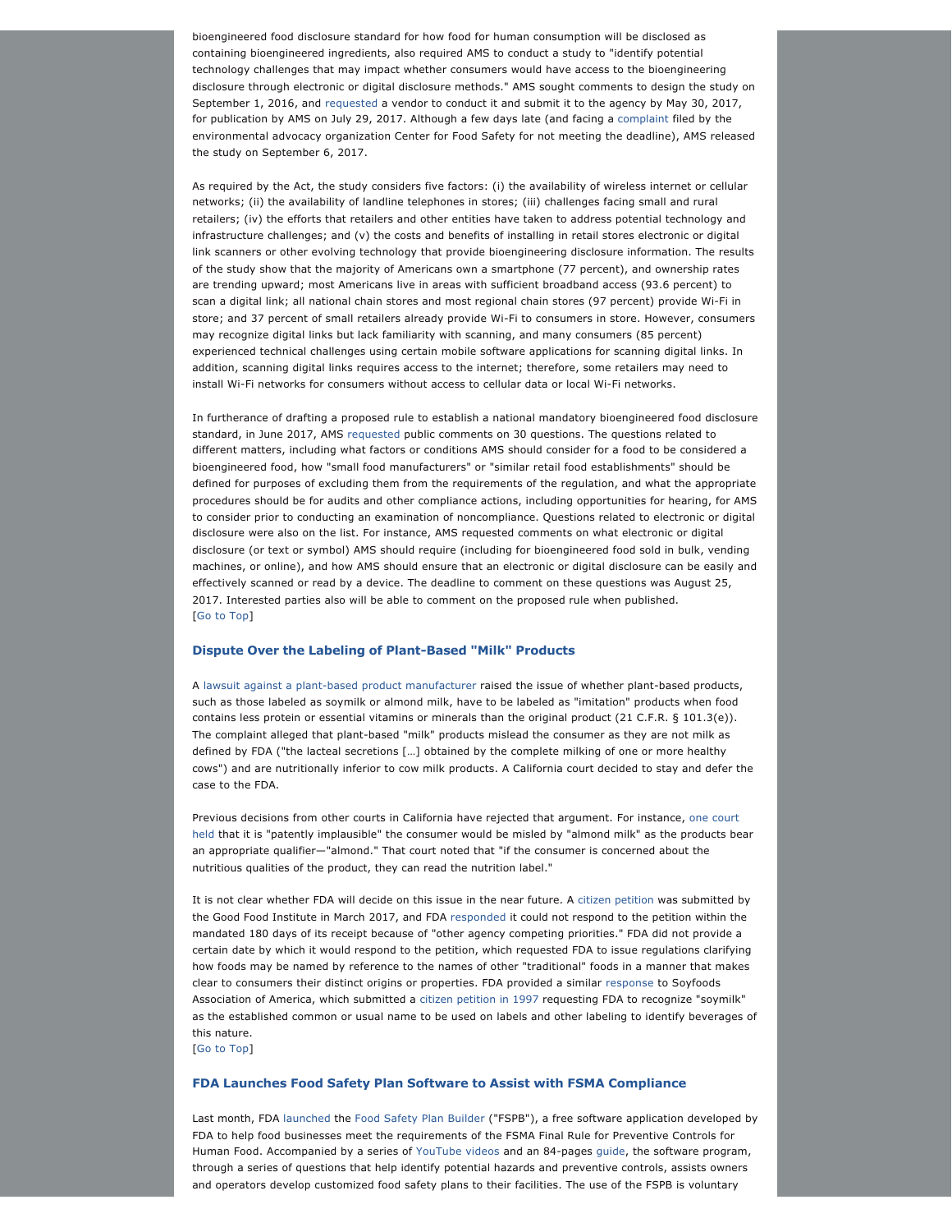bioengineered food disclosure standard for how food for human consumption will be disclosed as containing bioengineered ingredients, also required AMS to conduct a study to "identify potential technology challenges that may impact whether consumers would have access to the bioengineering disclosure through electronic or digital disclosure methods." AMS sought comments to design the study on September 1, 2016, and [requested](https://www.ams.usda.gov/sites/default/files/media/Statement%20of%20Objectives_for%20posting.pdf) a vendor to conduct it and submit it to the agency by May 30, 2017, for publication by AMS on July 29, 2017. Although a few days late (and facing a [complaint](https://www.centerforfoodsafety.org/files/8_25_17_complaint_labeling-study_filed_74810.pdf) filed by the environmental advocacy organization Center for Food Safety for not meeting the deadline), AMS released the study on September 6, 2017.

As required by the Act, the study considers five factors: (i) the availability of wireless internet or cellular networks; (ii) the availability of landline telephones in stores; (iii) challenges facing small and rural retailers; (iv) the efforts that retailers and other entities have taken to address potential technology and infrastructure challenges; and (v) the costs and benefits of installing in retail stores electronic or digital link scanners or other evolving technology that provide bioengineering disclosure information. The results of the study show that the majority of Americans own a smartphone (77 percent), and ownership rates are trending upward; most Americans live in areas with sufficient broadband access (93.6 percent) to scan a digital link; all national chain stores and most regional chain stores (97 percent) provide Wi-Fi in store; and 37 percent of small retailers already provide Wi-Fi to consumers in store. However, consumers may recognize digital links but lack familiarity with scanning, and many consumers (85 percent) experienced technical challenges using certain mobile software applications for scanning digital links. In addition, scanning digital links requires access to the internet; therefore, some retailers may need to install Wi-Fi networks for consumers without access to cellular data or local Wi-Fi networks.

In furtherance of drafting a proposed rule to establish a national mandatory bioengineered food disclosure standard, in June 2017, AMS [requested](https://www.ams.usda.gov/rules-regulations/gmo-questions) public comments on 30 questions. The questions related to different matters, including what factors or conditions AMS should consider for a food to be considered a bioengineered food, how "small food manufacturers" or "similar retail food establishments" should be defined for purposes of excluding them from the requirements of the regulation, and what the appropriate procedures should be for audits and other compliance actions, including opportunities for hearing, for AMS to consider prior to conducting an examination of noncompliance. Questions related to electronic or digital disclosure were also on the list. For instance, AMS requested comments on what electronic or digital disclosure (or text or symbol) AMS should require (including for bioengineered food sold in bulk, vending machines, or online), and how AMS should ensure that an electronic or digital disclosure can be easily and effectively scanned or read by a device. The deadline to comment on these questions was August 25, 2017. Interested parties also will be able to comment on the proposed rule when published. [[Go to Top](https://jonesday.vuture.net/API/Print/Preview/Screen?url=https%3a%2f%2fjonesday-ecommunications.com%2f239%2f1521%2fseptember-2017%2ffood-update-vol.-iv-issue-6-.asp%3fwidth%3d1024#top)]

#### **Dispute Over the Labeling of Plant-Based "Milk" Products**

A lawsuit against a plant-based product manufacturer raised the issue of whether plant-based products, such as those labeled as soymilk or almond milk, have to be labeled as "imitation" products when food contains less protein or essential vitamins or minerals than the original product (21 C.F.R. § 101.3(e)). The complaint alleged that plant-based "milk" products mislead the consumer as they are not milk as defined by FDA ("the lacteal secretions […] obtained by the complete milking of one or more healthy cows") and are nutritionally inferior to cow milk products. A California court decided to stay and defer the case to the FDA.

Previous decisions from other courts in California have rejected that argument. For instance, [one court](https://jonesday-ecommunications.com/239/1521/downloads/cynthia-v.-blue-diamond-growers.pdf)  [held](https://jonesday-ecommunications.com/239/1521/downloads/cynthia-v.-blue-diamond-growers.pdf) that it is "patently implausible" the consumer would be misled by "almond milk" as the products bear an appropriate qualifier—"almond." That court noted that "if the consumer is concerned about the nutritious qualities of the product, they can read the nutrition label."

It is not clear whether FDA will decide on this issue in the near future. A [citizen petition](https://www.regulations.gov/document?D=FDA-2017-P-1298-0001) was submitted by the Good Food Institute in March 2017, and FDA [responded](https://www.regulations.gov/document?D=FDA-2017-P-1298-0091) it could not respond to the petition within the mandated 180 days of its receipt because of "other agency competing priorities." FDA did not provide a certain date by which it would respond to the petition, which requested FDA to issue regulations clarifying how foods may be named by reference to the names of other "traditional" foods in a manner that makes clear to consumers their distinct origins or properties. FDA provided a similar [response](https://www.regulations.gov/document?D=FDA-1997-P-0016-0013) to Soyfoods Association of America, which submitted a [citizen petition in 1997](https://www.regulations.gov/document?D=FDA-1997-P-0016-0002) requesting FDA to recognize "soymilk" as the established common or usual name to be used on labels and other labeling to identify beverages of this nature. [[Go to Top](https://jonesday.vuture.net/API/Print/Preview/Screen?url=https%3a%2f%2fjonesday-ecommunications.com%2f239%2f1521%2fseptember-2017%2ffood-update-vol.-iv-issue-6-.asp%3fwidth%3d1024#top)]

#### **FDA Launches Food Safety Plan Software to Assist with FSMA Compliance**

Last month, FDA [launched](https://www.fda.gov/Food/GuidanceRegulation/FSMA/ucm539791.htm) the [Food Safety Plan Builder](https://www.accessdata.fda.gov/scripts/foodSafetyPlanBuilder/) ("FSPB"), a free software application developed by FDA to help food businesses meet the requirements of the FSMA Final Rule for Preventive Controls for Human Food. Accompanied by a series of [YouTube videos](https://www.youtube.com/playlist?list=PLey4Qe-Uxcxb9AGNwFj-oGlquHDZ-tkqo) and an 84-pages [guide](https://www.accessdata.fda.gov/scripts/foodSafetyPlanBuilder/FoodSafetyPlanBuilderUserGuide_v1.0.pdf), the software program, through a series of questions that help identify potential hazards and preventive controls, assists owners and operators develop customized food safety plans to their facilities. The use of the FSPB is voluntary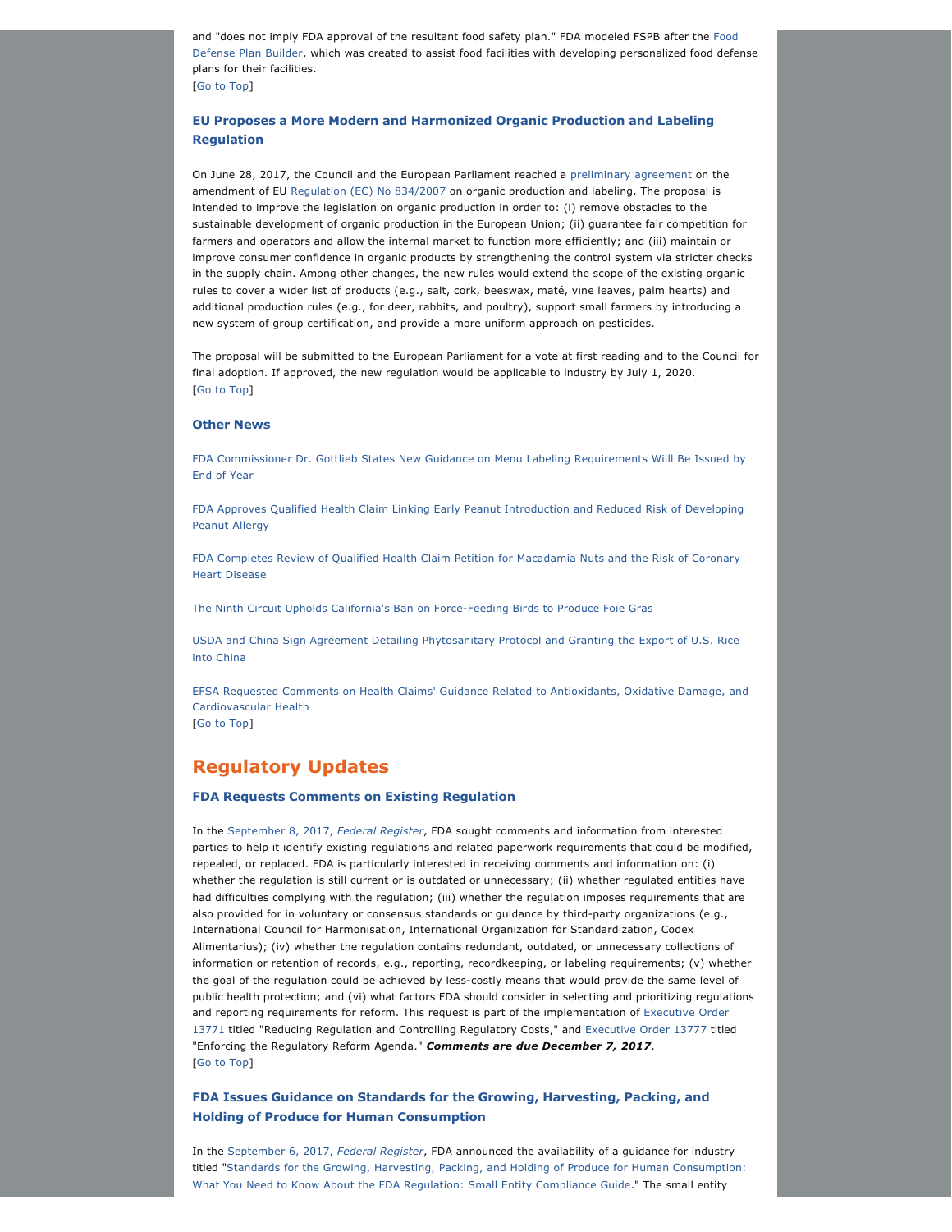and "does not imply FDA approval of the resultant food safety plan." FDA modeled FSPB after the [Food](https://www.fda.gov/Food/FoodDefense/ToolsEducationalMaterials/ucm349888.htm) [Defense Plan Builder,](https://www.fda.gov/Food/FoodDefense/ToolsEducationalMaterials/ucm349888.htm) which was created to assist food facilities with developing personalized food defense plans for their facilities. [[Go to Top](https://jonesday.vuture.net/API/Print/Preview/Screen?url=https%3a%2f%2fjonesday-ecommunications.com%2f239%2f1521%2fseptember-2017%2ffood-update-vol.-iv-issue-6-.asp%3fwidth%3d1024#top)]

## **EU Proposes a More Modern and Harmonized Organic Production and Labeling Regulation**

On June 28, 2017, the Council and the European Parliament reached a [preliminary agreement](http://eur-lex.europa.eu/legal-content/EN/ALL/?uri=CELEX%3A52014PC0180) on the amendment of EU [Regulation \(EC\) No 834/2007](http://eur-lex.europa.eu/legal-content/EN/TXT/?qid=1499078485243&uri=CELEX%3A32007R0834) on organic production and labeling. The proposal is intended to improve the legislation on organic production in order to: (i) remove obstacles to the sustainable development of organic production in the European Union; (ii) guarantee fair competition for farmers and operators and allow the internal market to function more efficiently; and (iii) maintain or improve consumer confidence in organic products by strengthening the control system via stricter checks in the supply chain. Among other changes, the new rules would extend the scope of the existing organic rules to cover a wider list of products (e.g., salt, cork, beeswax, maté, vine leaves, palm hearts) and additional production rules (e.g., for deer, rabbits, and poultry), support small farmers by introducing a new system of group certification, and provide a more uniform approach on pesticides.

The proposal will be submitted to the European Parliament for a vote at first reading and to the Council for final adoption. If approved, the new regulation would be applicable to industry by July 1, 2020. [[Go to Top](https://jonesday.vuture.net/API/Print/Preview/Screen?url=https%3a%2f%2fjonesday-ecommunications.com%2f239%2f1521%2fseptember-2017%2ffood-update-vol.-iv-issue-6-.asp%3fwidth%3d1024#top)]

#### **Other News**

[FDA Commissioner Dr. Gottlieb States New Guidance on Menu Labeling Requirements Willl Be Issued by](https://www.fda.gov/NewsEvents/Newsroom/PressAnnouncements/ucm573277.htm)  [End of Year](https://www.fda.gov/NewsEvents/Newsroom/PressAnnouncements/ucm573277.htm)

[FDA Approves Qualified Health Claim Linking Early Peanut Introduction and Reduced Risk of Developing](https://www.fda.gov/Food/NewsEvents/ConstituentUpdates/ucm575001.htm)  [Peanut Allergy](https://www.fda.gov/Food/NewsEvents/ConstituentUpdates/ucm575001.htm)

[FDA Completes Review of Qualified Health Claim Petition for Macadamia Nuts and the Risk of Coronary](https://www.fda.gov/food/newsevents/constituentupdates/ucm568052.htm) [Heart Disease](https://www.fda.gov/food/newsevents/constituentupdates/ucm568052.htm)

The Ninth Circuit Upholds California's Ban on Force-Feeding Birds to Produce Foie Gras

[USDA and China Sign Agreement Detailing Phytosanitary Protocol and Granting the Export of U.S. Rice](https://www.usda.gov/media/press-releases/2017/07/20/us-china-sign-historic-agreement-provide-market-access-us-rice)  [into China](https://www.usda.gov/media/press-releases/2017/07/20/us-china-sign-historic-agreement-provide-market-access-us-rice)

[EFSA Requested Comments on Health Claims' Guidance Related to Antioxidants, Oxidative Damage, and](http://www.efsa.europa.eu/en/consultations/call/170712)  [Cardiovascular Health](http://www.efsa.europa.eu/en/consultations/call/170712)

[[Go to Top](https://jonesday.vuture.net/API/Print/Preview/Screen?url=https%3a%2f%2fjonesday-ecommunications.com%2f239%2f1521%2fseptember-2017%2ffood-update-vol.-iv-issue-6-.asp%3fwidth%3d1024#top)]

# **Regulatory Updates**

#### **FDA Requests Comments on Existing Regulation**

In the [September 8, 2017,](https://www.gpo.gov/fdsys/pkg/FR-2017-09-08/pdf/2017-19047.pdf) *Federal Register*, FDA sought comments and information from interested parties to help it identify existing regulations and related paperwork requirements that could be modified, repealed, or replaced. FDA is particularly interested in receiving comments and information on: (i) whether the regulation is still current or is outdated or unnecessary; (ii) whether regulated entities have had difficulties complying with the regulation; (iii) whether the regulation imposes requirements that are also provided for in voluntary or consensus standards or guidance by third-party organizations (e.g., International Council for Harmonisation, International Organization for Standardization, Codex Alimentarius); (iv) whether the regulation contains redundant, outdated, or unnecessary collections of information or retention of records, e.g., reporting, recordkeeping, or labeling requirements; (v) whether the goal of the regulation could be achieved by less-costly means that would provide the same level of public health protection; and (vi) what factors FDA should consider in selecting and prioritizing regulations and reporting requirements for reform. This request is part of the implementation of [Executive Order](https://www.federalregister.gov/executive-order/13771) [13771](https://www.federalregister.gov/executive-order/13771) titled "Reducing Regulation and Controlling Regulatory Costs," and [Executive Order 13777](https://www.federalregister.gov/executive-order/13777) titled "Enforcing the Regulatory Reform Agenda." *Comments are due December 7, 2017*. [[Go to Top](https://jonesday.vuture.net/API/Print/Preview/Screen?url=https%3a%2f%2fjonesday-ecommunications.com%2f239%2f1521%2fseptember-2017%2ffood-update-vol.-iv-issue-6-.asp%3fwidth%3d1024#top)]

## **FDA Issues Guidance on Standards for the Growing, Harvesting, Packing, and Holding of Produce for Human Consumption**

In the [September 6, 2017,](https://www.gpo.gov/fdsys/pkg/FR-2017-09-06/pdf/2017-18811.pdf) *Federal Register*, FDA announced the availability of a guidance for industry titled "[Standards for the Growing, Harvesting, Packing, and Holding of Produce for Human Consumption:](https://www.fda.gov/downloads/Food/GuidanceRegulation/GuidanceDocumentsRegulatoryInformation/UCM574456.pdf)  [What You Need to Know About the FDA Regulation: Small Entity Compliance Guide.](https://www.fda.gov/downloads/Food/GuidanceRegulation/GuidanceDocumentsRegulatoryInformation/UCM574456.pdf)" The small entity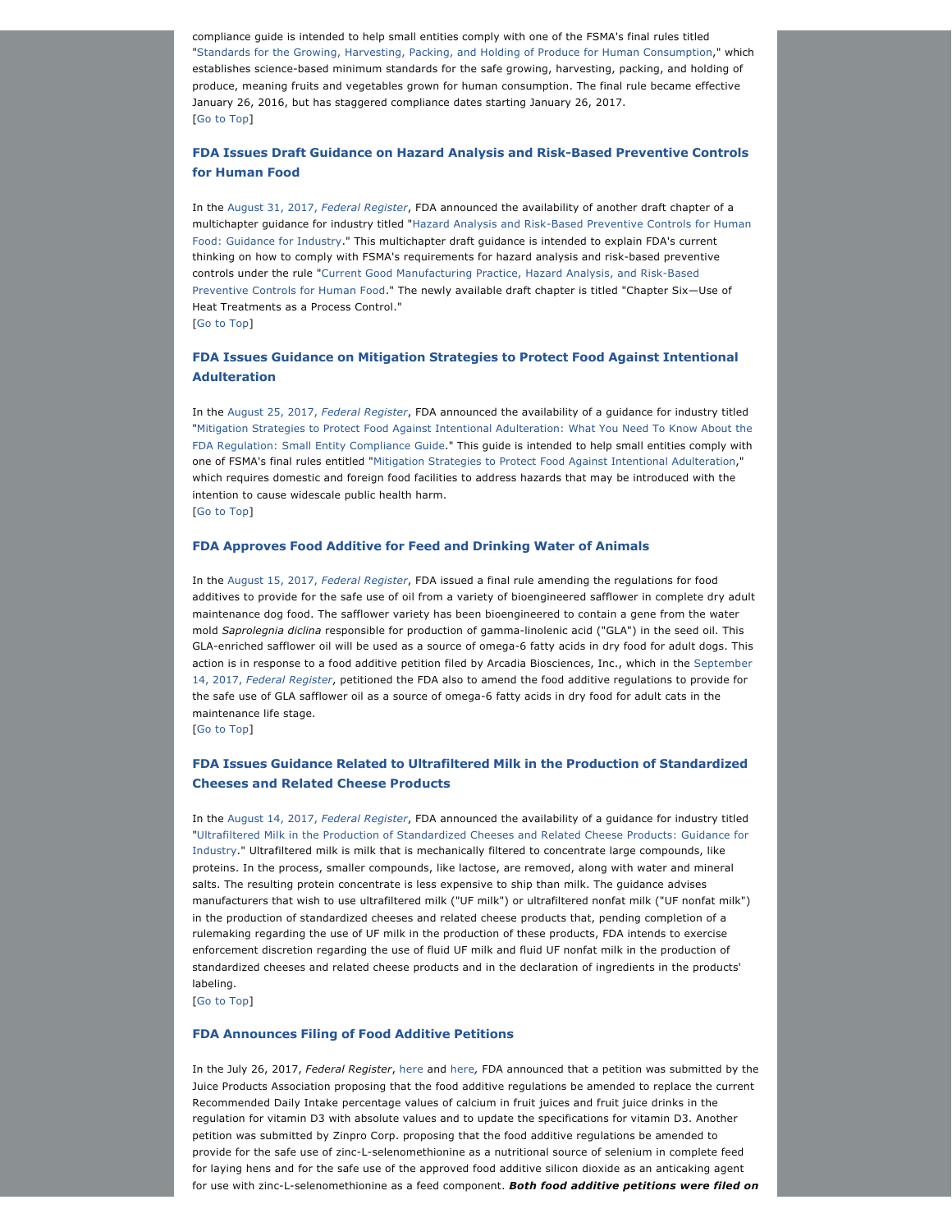compliance guide is intended to help small entities comply with one of the FSMA's final rules titled "[Standards for the Growing, Harvesting, Packing, and Holding of Produce for Human Consumption](https://www.gpo.gov/fdsys/pkg/FR-2015-11-27/pdf/2015-28159.pdf)," which establishes science-based minimum standards for the safe growing, harvesting, packing, and holding of produce, meaning fruits and vegetables grown for human consumption. The final rule became effective January 26, 2016, but has staggered compliance dates starting January 26, 2017. [[Go to Top](https://jonesday.vuture.net/API/Print/Preview/Screen?url=https%3a%2f%2fjonesday-ecommunications.com%2f239%2f1521%2fseptember-2017%2ffood-update-vol.-iv-issue-6-.asp%3fwidth%3d1024#top)]

## **FDA Issues Draft Guidance on Hazard Analysis and Risk-Based Preventive Controls for Human Food**

In the [August 31, 2017,](https://www.gpo.gov/fdsys/pkg/FR-2017-08-31/pdf/2017-18464.pdf) *Federal Register*, FDA announced the availability of another draft chapter of a multichapter guidance for industry titled "Hazard Analysis and Risk-Based Preventive Controls for Human [Food: Guidance for Industry.](file:///C:/Users/jp020318/Downloads/Hazard_Analysis_and_Risk-Based_Preventive_Controls_for_Human_Food_Draft_Guidance_for_Industry.pdf)" This multichapter draft guidance is intended to explain FDA's current thinking on how to comply with FSMA's requirements for hazard analysis and risk-based preventive controls under the rule "Current Good Manufacturing Practice, Hazard Analysis, and Risk-Based [Preventive Controls for Human Food](file:///C:/Users/jp020318/Downloads/FDA-2011-N-0920-1979.pdf)." The newly available draft chapter is titled "Chapter Six-Use of Heat Treatments as a Process Control." [[Go to Top](https://jonesday.vuture.net/API/Print/Preview/Screen?url=https%3a%2f%2fjonesday-ecommunications.com%2f239%2f1521%2fseptember-2017%2ffood-update-vol.-iv-issue-6-.asp%3fwidth%3d1024#top)]

## **FDA Issues Guidance on Mitigation Strategies to Protect Food Against Intentional Adulteration**

In the [August 25, 2017,](https://www.gpo.gov/fdsys/pkg/FR-2017-08-25/pdf/2017-18028.pdf) *Federal Register*, FDA announced the availability of a guidance for industry titled "[Mitigation Strategies to Protect Food Against Intentional Adulteration: What You Need To Know About the](https://www.fda.gov/downloads/Food/GuidanceRegulation/GuidanceDocumentsRegulatoryInformation/UCM562223.pdf) [FDA Regulation: Small Entity Compliance Guide](https://www.fda.gov/downloads/Food/GuidanceRegulation/GuidanceDocumentsRegulatoryInformation/UCM562223.pdf)." This guide is intended to help small entities comply with one of FSMA's final rules entitled ["Mitigation Strategies to Protect Food Against Intentional Adulteration](file:///C:/Users/jp020318/Downloads/FDA-2013-N-1425-0146%20(1).pdf)," which requires domestic and foreign food facilities to address hazards that may be introduced with the intention to cause widescale public health harm. [[Go to Top](https://jonesday.vuture.net/API/Print/Preview/Screen?url=https%3a%2f%2fjonesday-ecommunications.com%2f239%2f1521%2fseptember-2017%2ffood-update-vol.-iv-issue-6-.asp%3fwidth%3d1024#top)]

## **FDA Approves Food Additive for Feed and Drinking Water of Animals**

In the [August 15, 2017,](https://www.gpo.gov/fdsys/pkg/FR-2017-08-15/pdf/2017-17214.pdf) *Federal Register*, FDA issued a final rule amending the regulations for food additives to provide for the safe use of oil from a variety of bioengineered safflower in complete dry adult maintenance dog food. The safflower variety has been bioengineered to contain a gene from the water mold *Saprolegnia diclina* responsible for production of gamma-linolenic acid ("GLA") in the seed oil. This GLA-enriched safflower oil will be used as a source of omega-6 fatty acids in dry food for adult dogs. This action is in response to a food additive petition filed by Arcadia Biosciences, Inc., which in the [September](https://www.gpo.gov/fdsys/pkg/FR-2017-09-14/pdf/2017-19491.pdf) 14, 2017, *[Federal Register](https://www.gpo.gov/fdsys/pkg/FR-2017-09-14/pdf/2017-19491.pdf)*, petitioned the FDA also to amend the food additive regulations to provide for the safe use of GLA safflower oil as a source of omega-6 fatty acids in dry food for adult cats in the maintenance life stage.

[[Go to Top](https://jonesday.vuture.net/API/Print/Preview/Screen?url=https%3a%2f%2fjonesday-ecommunications.com%2f239%2f1521%2fseptember-2017%2ffood-update-vol.-iv-issue-6-.asp%3fwidth%3d1024#top)]

## **FDA Issues Guidance Related to Ultrafiltered Milk in the Production of Standardized Cheeses and Related Cheese Products**

In the [August 14, 2017,](https://www.gpo.gov/fdsys/pkg/FR-2017-08-14/pdf/2017-17118.pdf) *Federal Register*, FDA announced the availability of a guidance for industry titled "[Ultrafiltered Milk in the Production of Standardized Cheeses and Related Cheese Products: Guidance for](file:///C:/Users/jp020318/Downloads/Ultrafiltered_Milk_in_the_Production_of_Standardized_Cheeses_and_Related_Cheese_Products_Guidance_for_Industry.pdf)  [Industry](file:///C:/Users/jp020318/Downloads/Ultrafiltered_Milk_in_the_Production_of_Standardized_Cheeses_and_Related_Cheese_Products_Guidance_for_Industry.pdf)." Ultrafiltered milk is milk that is mechanically filtered to concentrate large compounds, like proteins. In the process, smaller compounds, like lactose, are removed, along with water and mineral salts. The resulting protein concentrate is less expensive to ship than milk. The guidance advises manufacturers that wish to use ultrafiltered milk ("UF milk") or ultrafiltered nonfat milk ("UF nonfat milk") in the production of standardized cheeses and related cheese products that, pending completion of a rulemaking regarding the use of UF milk in the production of these products, FDA intends to exercise enforcement discretion regarding the use of fluid UF milk and fluid UF nonfat milk in the production of standardized cheeses and related cheese products and in the declaration of ingredients in the products' labeling.

[[Go to Top](https://jonesday.vuture.net/API/Print/Preview/Screen?url=https%3a%2f%2fjonesday-ecommunications.com%2f239%2f1521%2fseptember-2017%2ffood-update-vol.-iv-issue-6-.asp%3fwidth%3d1024#top)]

#### **FDA Announces Filing of Food Additive Petitions**

In the July 26, 2017, *Federal Register*, [here](https://www.gpo.gov/fdsys/pkg/FR-2017-07-26/pdf/2017-15535.pdf) and [here](https://www.gpo.gov/fdsys/pkg/FR-2017-07-26/pdf/2017-15533.pdf)*,* FDA announced that a petition was submitted by the Juice Products Association proposing that the food additive regulations be amended to replace the current Recommended Daily Intake percentage values of calcium in fruit juices and fruit juice drinks in the regulation for vitamin D3 with absolute values and to update the specifications for vitamin D3. Another petition was submitted by Zinpro Corp. proposing that the food additive regulations be amended to provide for the safe use of zinc-L-selenomethionine as a nutritional source of selenium in complete feed for laying hens and for the safe use of the approved food additive silicon dioxide as an anticaking agent for use with zinc-L-selenomethionine as a feed component. Both food additive petitions were filed on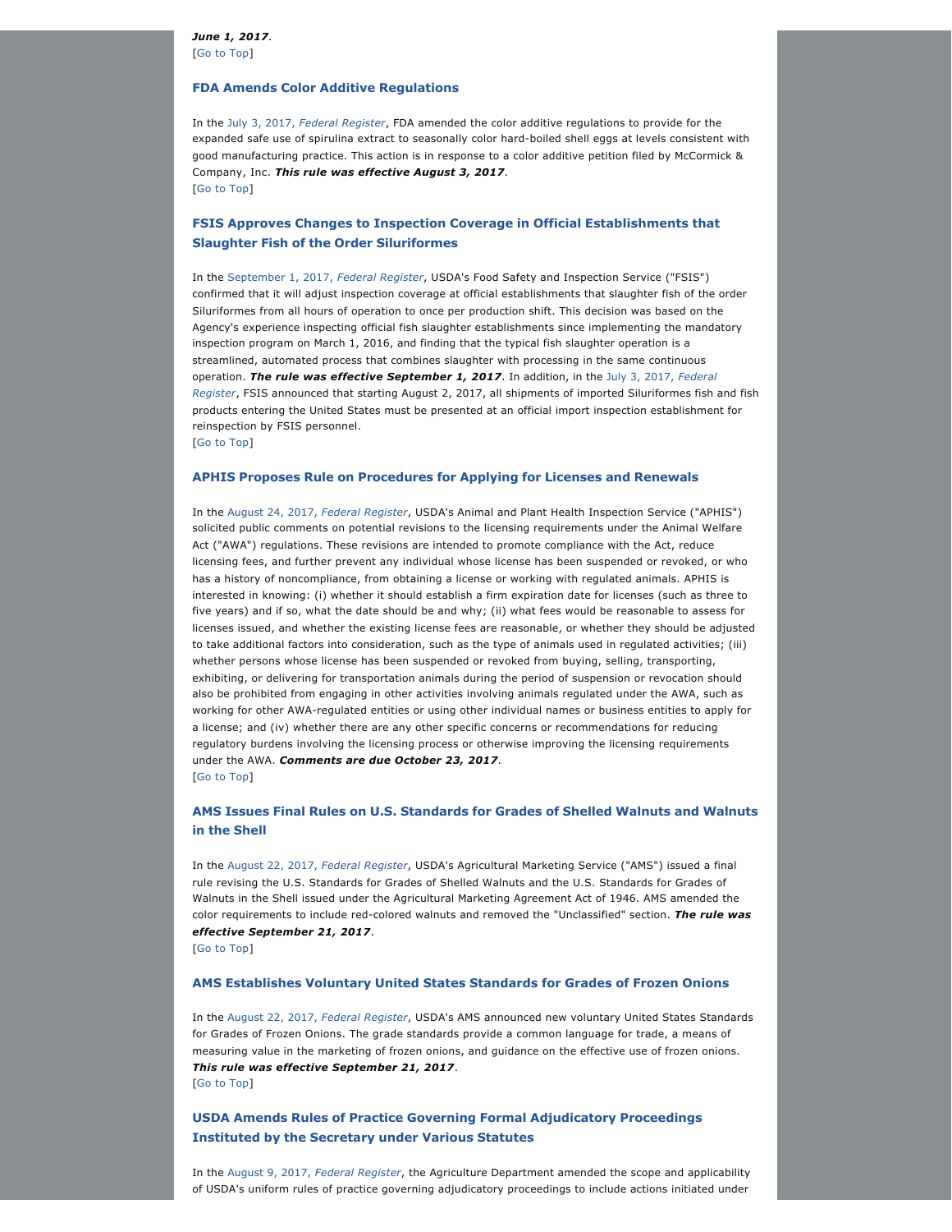*June 1, 2017*. [[Go to Top](https://jonesday.vuture.net/API/Print/Preview/Screen?url=https%3a%2f%2fjonesday-ecommunications.com%2f239%2f1521%2fseptember-2017%2ffood-update-vol.-iv-issue-6-.asp%3fwidth%3d1024#top)]

#### **FDA Amends Color Additive Regulations**

In the July 3, 2017, *[Federal Register](https://www.gpo.gov/fdsys/pkg/FR-2017-07-03/pdf/2017-13867.pdf)*, FDA amended the color additive regulations to provide for the expanded safe use of spirulina extract to seasonally color hard-boiled shell eggs at levels consistent with good manufacturing practice. This action is in response to a color additive petition filed by McCormick & Company, Inc. *This rule was effective August 3, 2017*. [[Go to Top](https://jonesday.vuture.net/API/Print/Preview/Screen?url=https%3a%2f%2fjonesday-ecommunications.com%2f239%2f1521%2fseptember-2017%2ffood-update-vol.-iv-issue-6-.asp%3fwidth%3d1024#top)]

## **FSIS Approves Changes to Inspection Coverage in Official Establishments that Slaughter Fish of the Order Siluriformes**

In the [September 1, 2017,](https://www.gpo.gov/fdsys/pkg/FR-2017-09-01/pdf/2017-18591.pdf) *Federal Register*, USDA's Food Safety and Inspection Service ("FSIS") confirmed that it will adjust inspection coverage at official establishments that slaughter fish of the order Siluriformes from all hours of operation to once per production shift. This decision was based on the Agency's experience inspecting official fish slaughter establishments since implementing the mandatory inspection program on March 1, 2016, and finding that the typical fish slaughter operation is a streamlined, automated process that combines slaughter with processing in the same continuous operation. *The rule was effective September 1, 2017*. In addition, in the [July 3, 2017,](https://www.gpo.gov/fdsys/pkg/FR-2017-07-03/pdf/2017-13644.pdf) *Federal [Register](https://www.gpo.gov/fdsys/pkg/FR-2017-07-03/pdf/2017-13644.pdf)*, FSIS announced that starting August 2, 2017, all shipments of imported Siluriformes fish and fish products entering the United States must be presented at an official import inspection establishment for reinspection by FSIS personnel. [[Go to Top](https://jonesday.vuture.net/API/Print/Preview/Screen?url=https%3a%2f%2fjonesday-ecommunications.com%2f239%2f1521%2fseptember-2017%2ffood-update-vol.-iv-issue-6-.asp%3fwidth%3d1024#top)]

#### **APHIS Proposes Rule on Procedures for Applying for Licenses and Renewals**

In the [August 24, 2017,](https://www.gpo.gov/fdsys/pkg/FR-2017-08-24/pdf/2017-17967.pdf) *Federal Register*, USDA's Animal and Plant Health Inspection Service ("APHIS") solicited public comments on potential revisions to the licensing requirements under the Animal Welfare Act ("AWA") regulations. These revisions are intended to promote compliance with the Act, reduce licensing fees, and further prevent any individual whose license has been suspended or revoked, or who has a history of noncompliance, from obtaining a license or working with regulated animals. APHIS is interested in knowing: (i) whether it should establish a firm expiration date for licenses (such as three to five years) and if so, what the date should be and why; (ii) what fees would be reasonable to assess for licenses issued, and whether the existing license fees are reasonable, or whether they should be adjusted to take additional factors into consideration, such as the type of animals used in regulated activities; (iii) whether persons whose license has been suspended or revoked from buying, selling, transporting, exhibiting, or delivering for transportation animals during the period of suspension or revocation should also be prohibited from engaging in other activities involving animals regulated under the AWA, such as working for other AWA-regulated entities or using other individual names or business entities to apply for a license; and (iv) whether there are any other specific concerns or recommendations for reducing regulatory burdens involving the licensing process or otherwise improving the licensing requirements under the AWA. *Comments are due October 23, 2017*. [[Go to Top](https://jonesday.vuture.net/API/Print/Preview/Screen?url=https%3a%2f%2fjonesday-ecommunications.com%2f239%2f1521%2fseptember-2017%2ffood-update-vol.-iv-issue-6-.asp%3fwidth%3d1024#top)]

## **AMS Issues Final Rules on U.S. Standards for Grades of Shelled Walnuts and Walnuts in the Shell**

In the [August 22, 2017,](https://www.gpo.gov/fdsys/pkg/FR-2017-08-22/pdf/2017-17641.pdf) *Federal Register*, USDA's Agricultural Marketing Service ("AMS") issued a final rule revising the U.S. Standards for Grades of Shelled Walnuts and the U.S. Standards for Grades of Walnuts in the Shell issued under the Agricultural Marketing Agreement Act of 1946. AMS amended the color requirements to include red-colored walnuts and removed the "Unclassified" section. The rule was *effective September 21, 2017*.

[[Go to Top](https://jonesday.vuture.net/API/Print/Preview/Screen?url=https%3a%2f%2fjonesday-ecommunications.com%2f239%2f1521%2fseptember-2017%2ffood-update-vol.-iv-issue-6-.asp%3fwidth%3d1024#top)]

#### **AMS Establishes Voluntary United States Standards for Grades of Frozen Onions**

In the [August 22, 2017,](https://www.gpo.gov/fdsys/pkg/FR-2017-08-22/pdf/2017-17642.pdf) *Federal Register*, USDA's AMS announced new voluntary United States Standards for Grades of Frozen Onions. The grade standards provide a common language for trade, a means of measuring value in the marketing of frozen onions, and guidance on the effective use of frozen onions. *This rule was effective September 21, 2017*. [[Go to Top](https://jonesday.vuture.net/API/Print/Preview/Screen?url=https%3a%2f%2fjonesday-ecommunications.com%2f239%2f1521%2fseptember-2017%2ffood-update-vol.-iv-issue-6-.asp%3fwidth%3d1024#top)]

**USDA Amends Rules of Practice Governing Formal Adjudicatory Proceedings Instituted by the Secretary under Various Statutes**

In the [August 9, 2017,](https://www.gpo.gov/fdsys/pkg/FR-2017-08-09/pdf/2017-16786.pdf) *Federal Register*, the Agriculture Department amended the scope and applicability of USDA's uniform rules of practice governing adjudicatory proceedings to include actions initiated under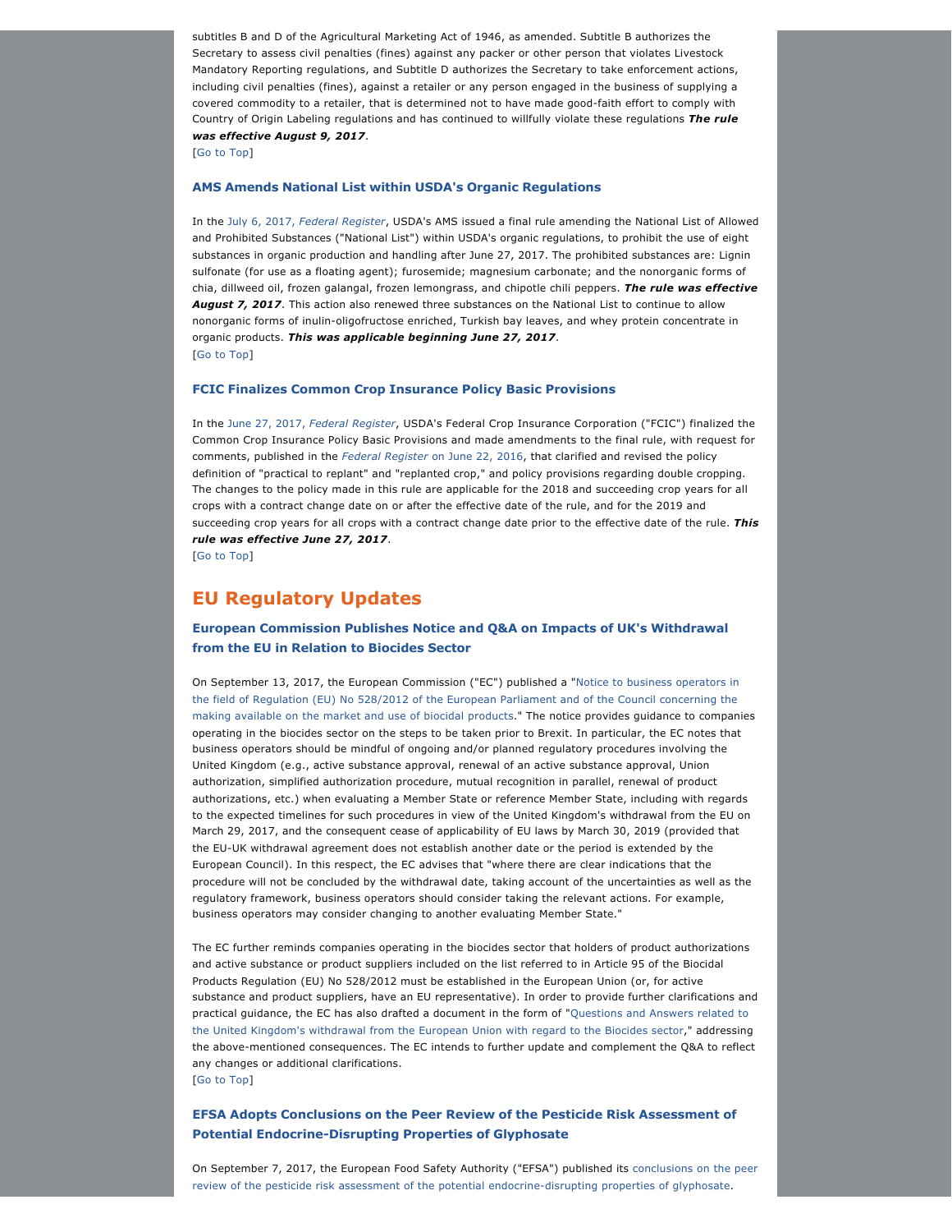subtitles B and D of the Agricultural Marketing Act of 1946, as amended. Subtitle B authorizes the Secretary to assess civil penalties (fines) against any packer or other person that violates Livestock Mandatory Reporting regulations, and Subtitle D authorizes the Secretary to take enforcement actions, including civil penalties (fines), against a retailer or any person engaged in the business of supplying a covered commodity to a retailer, that is determined not to have made good-faith effort to comply with Country of Origin Labeling regulations and has continued to willfully violate these regulations *The rule was effective August 9, 2017*.

[[Go to Top](https://jonesday.vuture.net/API/Print/Preview/Screen?url=https%3a%2f%2fjonesday-ecommunications.com%2f239%2f1521%2fseptember-2017%2ffood-update-vol.-iv-issue-6-.asp%3fwidth%3d1024#top)]

#### **AMS Amends National List within USDA's Organic Regulations**

In the July 6, 2017, *[Federal Register](https://www.gpo.gov/fdsys/pkg/FR-2017-07-06/pdf/2017-14006.pdf)*, USDA's AMS issued a final rule amending the National List of Allowed and Prohibited Substances ("National List") within USDA's organic regulations, to prohibit the use of eight substances in organic production and handling after June 27, 2017. The prohibited substances are: Lignin sulfonate (for use as a floating agent); furosemide; magnesium carbonate; and the nonorganic forms of chia, dillweed oil, frozen galangal, frozen lemongrass, and chipotle chili peppers. *The rule was effective*  August 7, 2017. This action also renewed three substances on the National List to continue to allow nonorganic forms of inulin-oligofructose enriched, Turkish bay leaves, and whey protein concentrate in organic products. *This was applicable beginning June 27, 2017*. [[Go to Top](https://jonesday.vuture.net/API/Print/Preview/Screen?url=https%3a%2f%2fjonesday-ecommunications.com%2f239%2f1521%2fseptember-2017%2ffood-update-vol.-iv-issue-6-.asp%3fwidth%3d1024#top)]

#### **FCIC Finalizes Common Crop Insurance Policy Basic Provisions**

In the June 27, 2017, *[Federal Register](https://www.gpo.gov/fdsys/pkg/FR-2017-06-27/pdf/2017-13242.pdf)*, USDA's Federal Crop Insurance Corporation ("FCIC") finalized the Common Crop Insurance Policy Basic Provisions and made amendments to the final rule, with request for comments, published in the *Federal Register* [on June 22, 2016](https://www.gpo.gov/fdsys/pkg/FR-2016-06-22/pdf/2016-14735.pdf), that clarified and revised the policy definition of "practical to replant" and "replanted crop," and policy provisions regarding double cropping. The changes to the policy made in this rule are applicable for the 2018 and succeeding crop years for all crops with a contract change date on or after the effective date of the rule, and for the 2019 and succeeding crop years for all crops with a contract change date prior to the effective date of the rule. *This rule was effective June 27, 2017*.

[[Go to Top](https://jonesday.vuture.net/API/Print/Preview/Screen?url=https%3a%2f%2fjonesday-ecommunications.com%2f239%2f1521%2fseptember-2017%2ffood-update-vol.-iv-issue-6-.asp%3fwidth%3d1024#top)]

# **EU Regulatory Updates**

## **European Commission Publishes Notice and Q&A on Impacts of UK's Withdrawal from the EU in Relation to Biocides Sector**

On September 13, 2017, the European Commission ("EC") published a "[Notice to business operators in](https://ec.europa.eu/health/sites/health/files/biocides/docs/brexit_note_en.pdf)  [the field of Regulation \(EU\) No 528/2012 of the European Parliament and of the Council concerning the](https://ec.europa.eu/health/sites/health/files/biocides/docs/brexit_note_en.pdf)  [making available on the market and use of biocidal products.](https://ec.europa.eu/health/sites/health/files/biocides/docs/brexit_note_en.pdf)" The notice provides guidance to companies operating in the biocides sector on the steps to be taken prior to Brexit. In particular, the EC notes that business operators should be mindful of ongoing and/or planned regulatory procedures involving the United Kingdom (e.g., active substance approval, renewal of an active substance approval, Union authorization, simplified authorization procedure, mutual recognition in parallel, renewal of product authorizations, etc.) when evaluating a Member State or reference Member State, including with regards to the expected timelines for such procedures in view of the United Kingdom's withdrawal from the EU on March 29, 2017, and the consequent cease of applicability of EU laws by March 30, 2019 (provided that the EU-UK withdrawal agreement does not establish another date or the period is extended by the European Council). In this respect, the EC advises that "where there are clear indications that the procedure will not be concluded by the withdrawal date, taking account of the uncertainties as well as the regulatory framework, business operators should consider taking the relevant actions. For example, business operators may consider changing to another evaluating Member State."

The EC further reminds companies operating in the biocides sector that holders of product authorizations and active substance or product suppliers included on the list referred to in Article 95 of the Biocidal Products Regulation (EU) No 528/2012 must be established in the European Union (or, for active substance and product suppliers, have an EU representative). In order to provide further clarifications and practical guidance, the EC has also drafted a document in the form of "[Questions and Answers related to](https://ec.europa.eu/health/sites/health/files/biocides/docs/brexit_qa_en.pdf)  [the United Kingdom's withdrawal from the European Union with regard to the Biocides sector,](https://ec.europa.eu/health/sites/health/files/biocides/docs/brexit_qa_en.pdf)" addressing the above-mentioned consequences. The EC intends to further update and complement the Q&A to reflect any changes or additional clarifications. [[Go to Top](https://jonesday.vuture.net/API/Print/Preview/Screen?url=https%3a%2f%2fjonesday-ecommunications.com%2f239%2f1521%2fseptember-2017%2ffood-update-vol.-iv-issue-6-.asp%3fwidth%3d1024#top)]

**EFSA Adopts Conclusions on the Peer Review of the Pesticide Risk Assessment of Potential Endocrine-Disrupting Properties of Glyphosate** 

On September 7, 2017, the European Food Safety Authority ("EFSA") published its [conclusions on the peer](http://onlinelibrary.wiley.com/doi/10.2903/j.efsa.2017.4979/epdf)  review of the pesticide risk assessment of the potential endocrine-disrupting properties of glyphosate.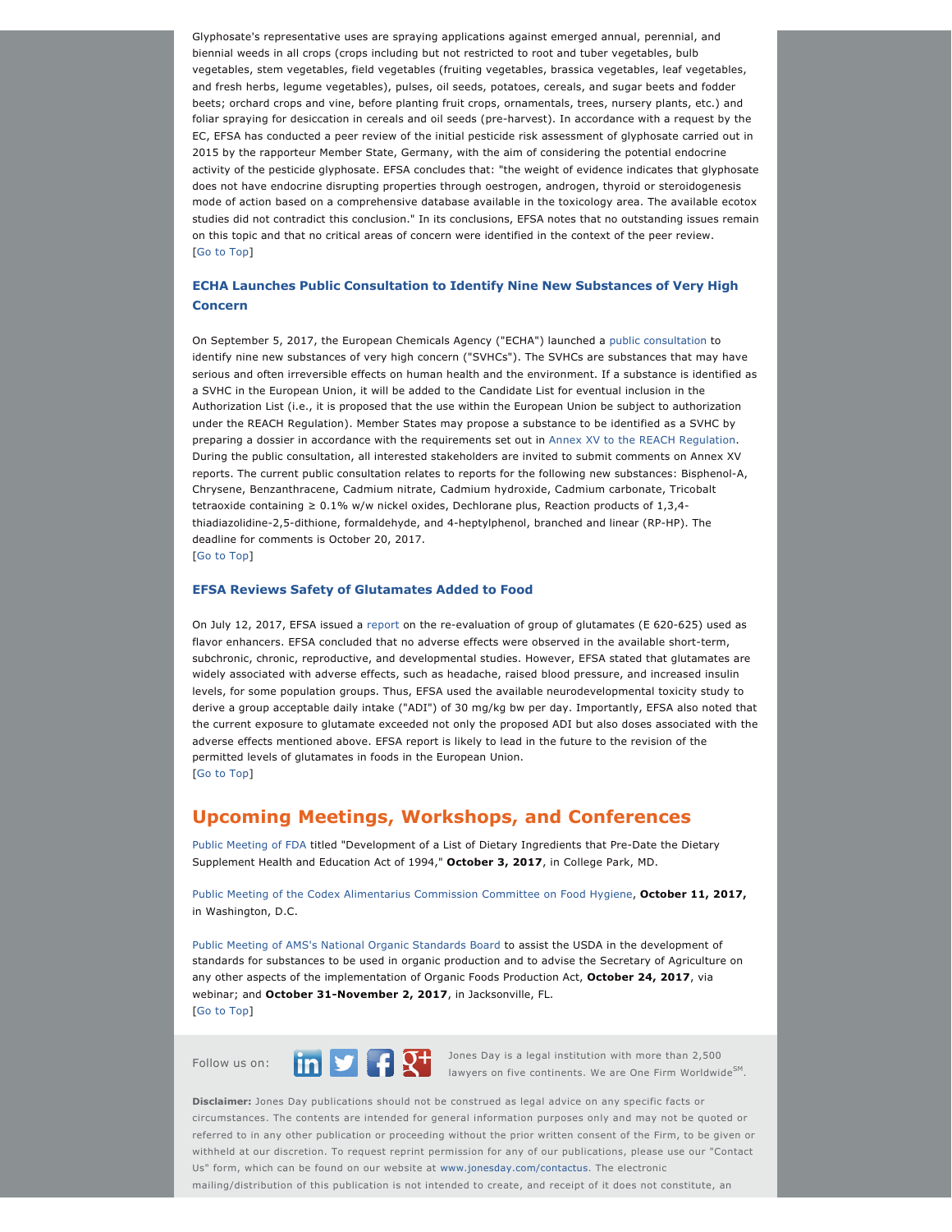Glyphosate's representative uses are spraying applications against emerged annual, perennial, and biennial weeds in all crops (crops including but not restricted to root and tuber vegetables, bulb vegetables, stem vegetables, field vegetables (fruiting vegetables, brassica vegetables, leaf vegetables, and fresh herbs, legume vegetables), pulses, oil seeds, potatoes, cereals, and sugar beets and fodder beets; orchard crops and vine, before planting fruit crops, ornamentals, trees, nursery plants, etc.) and foliar spraying for desiccation in cereals and oil seeds (pre-harvest). In accordance with a request by the EC, EFSA has conducted a peer review of the initial pesticide risk assessment of glyphosate carried out in 2015 by the rapporteur Member State, Germany, with the aim of considering the potential endocrine activity of the pesticide glyphosate. EFSA concludes that: "the weight of evidence indicates that glyphosate does not have endocrine disrupting properties through oestrogen, androgen, thyroid or steroidogenesis mode of action based on a comprehensive database available in the toxicology area. The available ecotox studies did not contradict this conclusion." In its conclusions, EFSA notes that no outstanding issues remain on this topic and that no critical areas of concern were identified in the context of the peer review. [[Go to Top](https://jonesday.vuture.net/API/Print/Preview/Screen?url=https%3a%2f%2fjonesday-ecommunications.com%2f239%2f1521%2fseptember-2017%2ffood-update-vol.-iv-issue-6-.asp%3fwidth%3d1024#top)]

## **ECHA Launches Public Consultation to Identify Nine New Substances of Very High Concern**

On September 5, 2017, the European Chemicals Agency ("ECHA") launched a [public consultation](https://echa.europa.eu/fr/-/public-consultation-to-identify-nine-new-substances-of-very-high-concern) to identify nine new substances of very high concern ("SVHCs"). The SVHCs are substances that may have serious and often irreversible effects on human health and the environment. If a substance is identified as a SVHC in the European Union, it will be added to the Candidate List for eventual inclusion in the Authorization List (i.e., it is proposed that the use within the European Union be subject to authorization under the REACH Regulation). Member States may propose a substance to be identified as a SVHC by preparing a dossier in accordance with the requirements set out in [Annex XV to the REACH Regulation](http://eur-lex.europa.eu/legal-content/EN/TXT/PDF/?uri=CELEX%3A02006R1907-20161011&from=EN). During the public consultation, all interested stakeholders are invited to submit comments on Annex XV reports. The current public consultation relates to reports for the following new substances: Bisphenol-A, Chrysene, Benzanthracene, Cadmium nitrate, Cadmium hydroxide, Cadmium carbonate, Tricobalt tetraoxide containing  $\geq 0.1\%$  w/w nickel oxides, Dechlorane plus, Reaction products of 1.3.4thiadiazolidine-2,5-dithione, formaldehyde, and 4-heptylphenol, branched and linear (RP-HP). The deadline for comments is October 20, 2017.

[[Go to Top](https://jonesday.vuture.net/API/Print/Preview/Screen?url=https%3a%2f%2fjonesday-ecommunications.com%2f239%2f1521%2fseptember-2017%2ffood-update-vol.-iv-issue-6-.asp%3fwidth%3d1024#top)]

#### **EFSA Reviews Safety of Glutamates Added to Food**

On July 12, 2017, EFSA issued a [report](http://www.efsa.europa.eu/en/efsajournal/pub/4910) on the re-evaluation of group of glutamates (E 620-625) used as flavor enhancers. EFSA concluded that no adverse effects were observed in the available short-term, subchronic, chronic, reproductive, and developmental studies. However, EFSA stated that glutamates are widely associated with adverse effects, such as headache, raised blood pressure, and increased insulin levels, for some population groups. Thus, EFSA used the available neurodevelopmental toxicity study to derive a group acceptable daily intake ("ADI") of 30 mg/kg bw per day. Importantly, EFSA also noted that the current exposure to glutamate exceeded not only the proposed ADI but also doses associated with the adverse effects mentioned above. EFSA report is likely to lead in the future to the revision of the permitted levels of glutamates in foods in the European Union. [[Go to Top](https://jonesday.vuture.net/API/Print/Preview/Screen?url=https%3a%2f%2fjonesday-ecommunications.com%2f239%2f1521%2fseptember-2017%2ffood-update-vol.-iv-issue-6-.asp%3fwidth%3d1024#top)]

## **Upcoming Meetings, Workshops, and Conferences**

[Public Meeting of FDA](https://www.gpo.gov/fdsys/pkg/FR-2017-09-06/pdf/2017-18812.pdf) titled "Development of a List of Dietary Ingredients that Pre-Date the Dietary Supplement Health and Education Act of 1994," **October 3, 2017**, in College Park, MD.

[Public Meeting of the Codex Alimentarius Commission Committee on Food Hygiene](https://www.gpo.gov/fdsys/pkg/FR-2017-08-25/pdf/2017-18084.pdf), **October 11, 2017,**  in Washington, D.C.

[Public Meeting of AMS's National Organic Standards Board](https://www.gpo.gov/fdsys/pkg/FR-2017-05-30/pdf/2017-10987.pdf) to assist the USDA in the development of standards for substances to be used in organic production and to advise the Secretary of Agriculture on any other aspects of the implementation of Organic Foods Production Act, **October 24, 2017**, via webinar; and October 31-November 2, 2017, in Jacksonville, FL. [[Go to Top](https://jonesday.vuture.net/API/Print/Preview/Screen?url=https%3a%2f%2fjonesday-ecommunications.com%2f239%2f1521%2fseptember-2017%2ffood-update-vol.-iv-issue-6-.asp%3fwidth%3d1024#top)]



Follow us on: Jones Day is a legal institution with more than 2,500 lawyers on five continents. We are One Firm Worldwide<sup>SM</sup>.

**Disclaimer:** Jones Day publications should not be construed as legal advice on any specific facts or circumstances. The contents are intended for general information purposes only and may not be quoted or referred to in any other publication or proceeding without the prior written consent of the Firm, to be given or withheld at our discretion. To request reprint permission for any of our publications, please use our "Contact Us" form, which can be found on our website at [www.jonesday.com/contactus](http://www.jonesday.com/contactus). The electronic

mailing/distribution of this publication is not intended to create, and receipt of it does not constitute, an